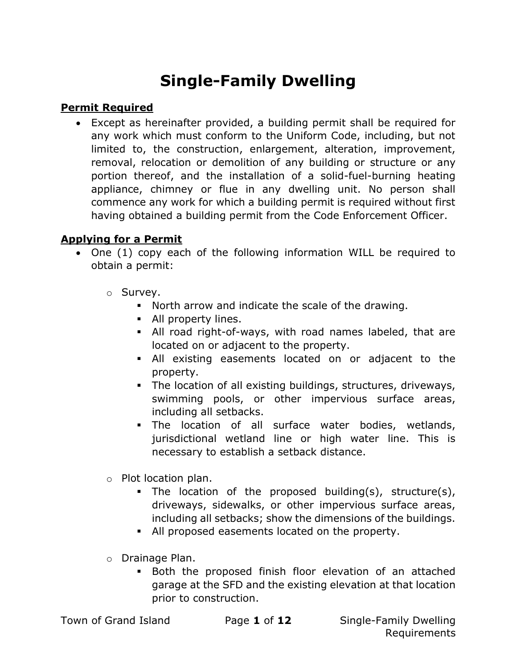# Single-Family Dwelling

## Permit Required

 Except as hereinafter provided, a building permit shall be required for any work which must conform to the Uniform Code, including, but not limited to, the construction, enlargement, alteration, improvement, removal, relocation or demolition of any building or structure or any portion thereof, and the installation of a solid-fuel-burning heating appliance, chimney or flue in any dwelling unit. No person shall commence any work for which a building permit is required without first having obtained a building permit from the Code Enforcement Officer.

### Applying for a Permit

- One (1) copy each of the following information WILL be required to obtain a permit:
	- o Survey.
		- North arrow and indicate the scale of the drawing.
		- All property lines.
		- All road right-of-ways, with road names labeled, that are located on or adjacent to the property.
		- All existing easements located on or adjacent to the property.
		- The location of all existing buildings, structures, driveways, swimming pools, or other impervious surface areas, including all setbacks.
		- The location of all surface water bodies, wetlands, jurisdictional wetland line or high water line. This is necessary to establish a setback distance.
	- o Plot location plan.
		- The location of the proposed building(s), structure(s), driveways, sidewalks, or other impervious surface areas, including all setbacks; show the dimensions of the buildings.
		- All proposed easements located on the property.
	- o Drainage Plan.
		- Both the proposed finish floor elevation of an attached garage at the SFD and the existing elevation at that location prior to construction.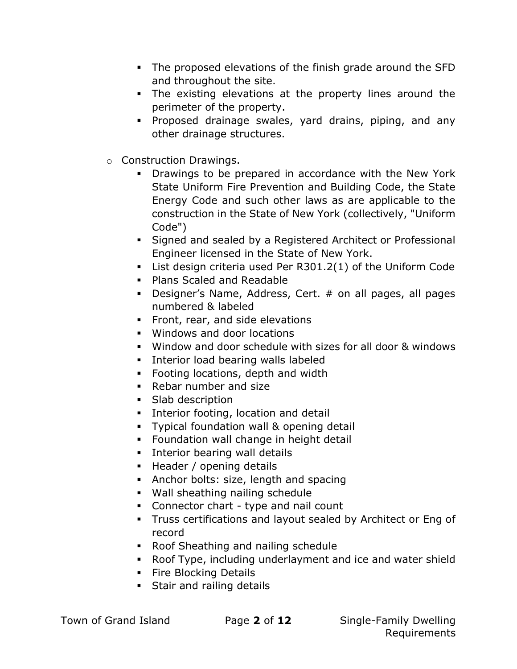- The proposed elevations of the finish grade around the SFD and throughout the site.
- The existing elevations at the property lines around the perimeter of the property.
- Proposed drainage swales, yard drains, piping, and any other drainage structures.
- o Construction Drawings.
	- **•** Drawings to be prepared in accordance with the New York State Uniform Fire Prevention and Building Code, the State Energy Code and such other laws as are applicable to the construction in the State of New York (collectively, "Uniform Code")
	- Signed and sealed by a Registered Architect or Professional Engineer licensed in the State of New York.
	- List design criteria used Per R301.2(1) of the Uniform Code
	- **Plans Scaled and Readable**
	- Designer's Name, Address, Cert. # on all pages, all pages numbered & labeled
	- **Front, rear, and side elevations**
	- Windows and door locations
	- Window and door schedule with sizes for all door & windows
	- **Interior load bearing walls labeled**
	- **Footing locations, depth and width**
	- Rebar number and size
	- Slab description
	- **Interior footing, location and detail**
	- Typical foundation wall & opening detail
	- Foundation wall change in height detail
	- **Interior bearing wall details**
	- Header / opening details
	- Anchor bolts: size, length and spacing
	- Wall sheathing nailing schedule
	- Connector chart type and nail count
	- Truss certifications and layout sealed by Architect or Eng of record
	- Roof Sheathing and nailing schedule
	- Roof Type, including underlayment and ice and water shield
	- **Fire Blocking Details**
	- **Stair and railing details**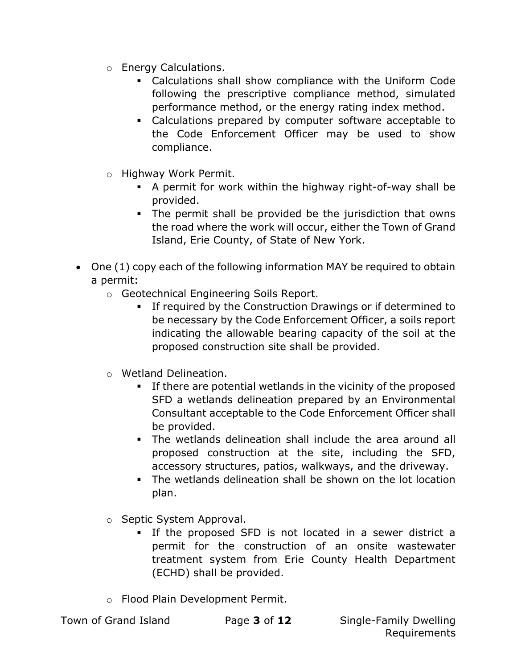- o Energy Calculations.
	- Calculations shall show compliance with the Uniform Code following the prescriptive compliance method, simulated performance method, or the energy rating index method.
	- Calculations prepared by computer software acceptable to the Code Enforcement Officer may be used to show compliance.
- o Highway Work Permit.
	- A permit for work within the highway right-of-way shall be provided.
	- The permit shall be provided be the jurisdiction that owns the road where the work will occur, either the Town of Grand Island, Erie County, of State of New York.
- One (1) copy each of the following information MAY be required to obtain a permit:
	- o Geotechnical Engineering Soils Report.
		- **If required by the Construction Drawings or if determined to** be necessary by the Code Enforcement Officer, a soils report indicating the allowable bearing capacity of the soil at the proposed construction site shall be provided.
	- o Wetland Delineation.
		- If there are potential wetlands in the vicinity of the proposed SFD a wetlands delineation prepared by an Environmental Consultant acceptable to the Code Enforcement Officer shall be provided.
		- The wetlands delineation shall include the area around all proposed construction at the site, including the SFD, accessory structures, patios, walkways, and the driveway.
		- The wetlands delineation shall be shown on the lot location plan.
	- o Septic System Approval.
		- If the proposed SFD is not located in a sewer district a permit for the construction of an onsite wastewater treatment system from Erie County Health Department (ECHD) shall be provided.
	- o Flood Plain Development Permit.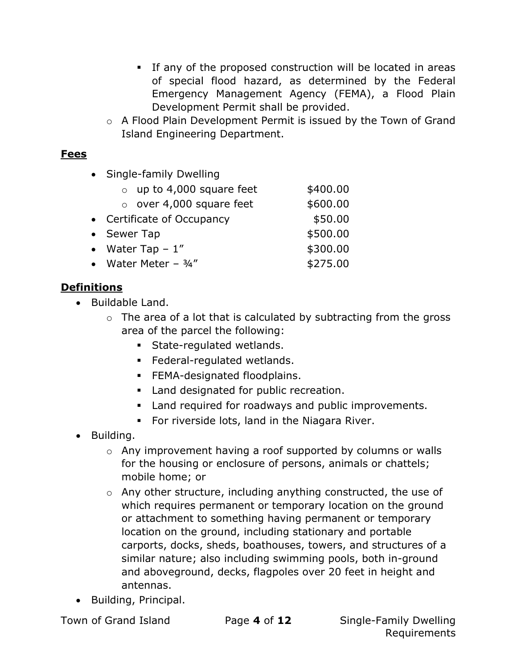- If any of the proposed construction will be located in areas of special flood hazard, as determined by the Federal Emergency Management Agency (FEMA), a Flood Plain Development Permit shall be provided.
- o A Flood Plain Development Permit is issued by the Town of Grand Island Engineering Department.

### Fees

| Single-family Dwelling          |          |  |  |  |  |  |  |
|---------------------------------|----------|--|--|--|--|--|--|
| $\circ$ up to 4,000 square feet | \$400.00 |  |  |  |  |  |  |
| $\circ$ over 4,000 square feet  | \$600.00 |  |  |  |  |  |  |
| • Certificate of Occupancy      | \$50.00  |  |  |  |  |  |  |
| • Sewer Tap                     | \$500.00 |  |  |  |  |  |  |
| • Water Tap $-1$ "              | \$300.00 |  |  |  |  |  |  |
| • Water Meter $-3/4$ "          | \$275.00 |  |  |  |  |  |  |
|                                 |          |  |  |  |  |  |  |

### **Definitions**

- Buildable Land.
	- $\circ$  The area of a lot that is calculated by subtracting from the gross area of the parcel the following:
		- **State-regulated wetlands.**
		- Federal-regulated wetlands.
		- **FEMA-designated floodplains.**
		- **Land designated for public recreation.**
		- **EXEC** Land required for roadways and public improvements.
		- **For riverside lots, land in the Niagara River.**
- Building.
	- o Any improvement having a roof supported by columns or walls for the housing or enclosure of persons, animals or chattels; mobile home; or
	- o Any other structure, including anything constructed, the use of which requires permanent or temporary location on the ground or attachment to something having permanent or temporary location on the ground, including stationary and portable carports, docks, sheds, boathouses, towers, and structures of a similar nature; also including swimming pools, both in-ground and aboveground, decks, flagpoles over 20 feet in height and antennas.
- Building, Principal.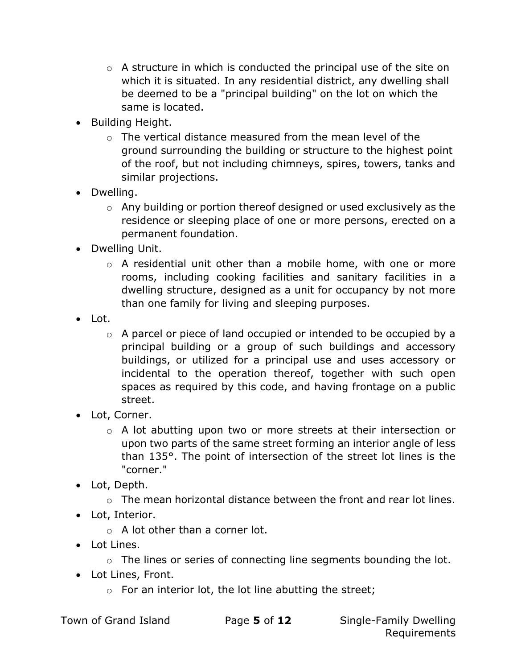- $\circ$  A structure in which is conducted the principal use of the site on which it is situated. In any residential district, any dwelling shall be deemed to be a "principal building" on the lot on which the same is located.
- Building Height.
	- o The vertical distance measured from the mean level of the ground surrounding the building or structure to the highest point of the roof, but not including chimneys, spires, towers, tanks and similar projections.
- Dwelling.
	- o Any building or portion thereof designed or used exclusively as the residence or sleeping place of one or more persons, erected on a permanent foundation.
- Dwelling Unit.
	- o A residential unit other than a mobile home, with one or more rooms, including cooking facilities and sanitary facilities in a dwelling structure, designed as a unit for occupancy by not more than one family for living and sleeping purposes.
- Lot.
	- o A parcel or piece of land occupied or intended to be occupied by a principal building or a group of such buildings and accessory buildings, or utilized for a principal use and uses accessory or incidental to the operation thereof, together with such open spaces as required by this code, and having frontage on a public street.
- Lot, Corner.
	- o A lot abutting upon two or more streets at their intersection or upon two parts of the same street forming an interior angle of less than 135°. The point of intersection of the street lot lines is the "corner."
- Lot, Depth.
	- o The mean horizontal distance between the front and rear lot lines.
- Lot, Interior.
	- o A lot other than a corner lot.
- Lot Lines.
	- $\circ$  The lines or series of connecting line segments bounding the lot.
- Lot Lines, Front.
	- $\circ$  For an interior lot, the lot line abutting the street;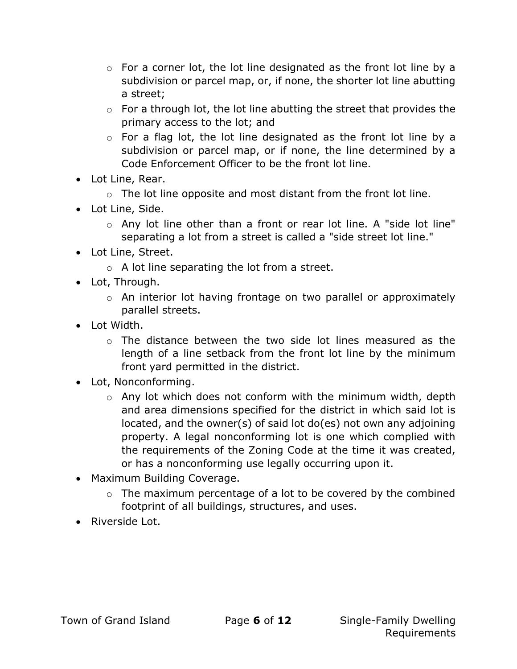- $\circ$  For a corner lot, the lot line designated as the front lot line by a subdivision or parcel map, or, if none, the shorter lot line abutting a street;
- $\circ$  For a through lot, the lot line abutting the street that provides the primary access to the lot; and
- o For a flag lot, the lot line designated as the front lot line by a subdivision or parcel map, or if none, the line determined by a Code Enforcement Officer to be the front lot line.
- Lot Line, Rear.
	- $\circ$  The lot line opposite and most distant from the front lot line.
- Lot Line, Side.
	- $\circ$  Any lot line other than a front or rear lot line. A "side lot line" separating a lot from a street is called a "side street lot line."
- Lot Line, Street.
	- $\circ$  A lot line separating the lot from a street.
- Lot, Through.
	- o An interior lot having frontage on two parallel or approximately parallel streets.
- Lot Width.
	- $\circ$  The distance between the two side lot lines measured as the length of a line setback from the front lot line by the minimum front yard permitted in the district.
- Lot, Nonconforming.
	- o Any lot which does not conform with the minimum width, depth and area dimensions specified for the district in which said lot is located, and the owner(s) of said lot do(es) not own any adjoining property. A legal nonconforming lot is one which complied with the requirements of the Zoning Code at the time it was created, or has a nonconforming use legally occurring upon it.
- Maximum Building Coverage.
	- o The maximum percentage of a lot to be covered by the combined footprint of all buildings, structures, and uses.
- Riverside Lot.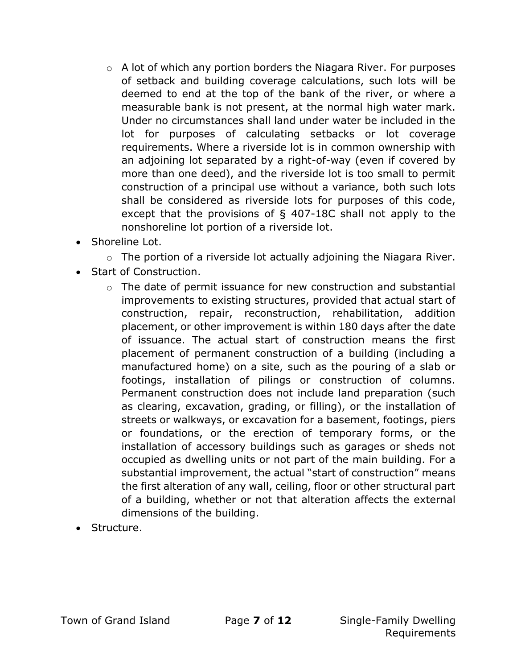- $\circ$  A lot of which any portion borders the Niagara River. For purposes of setback and building coverage calculations, such lots will be deemed to end at the top of the bank of the river, or where a measurable bank is not present, at the normal high water mark. Under no circumstances shall land under water be included in the lot for purposes of calculating setbacks or lot coverage requirements. Where a riverside lot is in common ownership with an adjoining lot separated by a right-of-way (even if covered by more than one deed), and the riverside lot is too small to permit construction of a principal use without a variance, both such lots shall be considered as riverside lots for purposes of this code, except that the provisions of § 407-18C shall not apply to the nonshoreline lot portion of a riverside lot.
- Shoreline Lot.
	- $\circ$  The portion of a riverside lot actually adjoining the Niagara River.
- Start of Construction.
	- $\circ$  The date of permit issuance for new construction and substantial improvements to existing structures, provided that actual start of construction, repair, reconstruction, rehabilitation, addition placement, or other improvement is within 180 days after the date of issuance. The actual start of construction means the first placement of permanent construction of a building (including a manufactured home) on a site, such as the pouring of a slab or footings, installation of pilings or construction of columns. Permanent construction does not include land preparation (such as clearing, excavation, grading, or filling), or the installation of streets or walkways, or excavation for a basement, footings, piers or foundations, or the erection of temporary forms, or the installation of accessory buildings such as garages or sheds not occupied as dwelling units or not part of the main building. For a substantial improvement, the actual "start of construction" means the first alteration of any wall, ceiling, floor or other structural part of a building, whether or not that alteration affects the external dimensions of the building.
- Structure.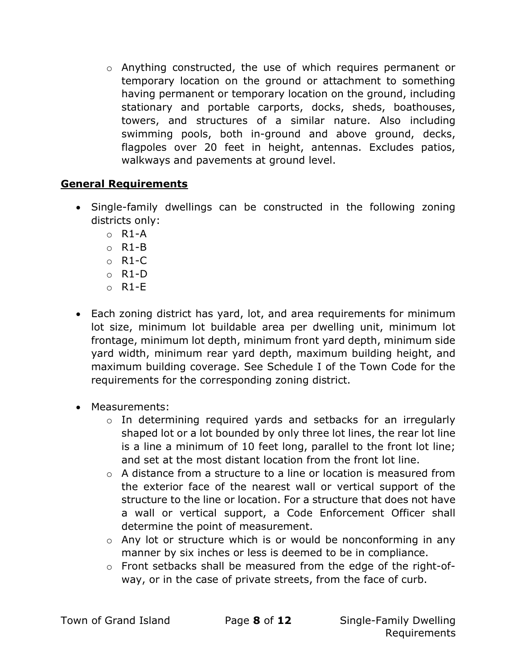$\circ$  Anything constructed, the use of which requires permanent or temporary location on the ground or attachment to something having permanent or temporary location on the ground, including stationary and portable carports, docks, sheds, boathouses, towers, and structures of a similar nature. Also including swimming pools, both in-ground and above ground, decks, flagpoles over 20 feet in height, antennas. Excludes patios, walkways and pavements at ground level.

#### General Requirements

- Single-family dwellings can be constructed in the following zoning districts only:
	- $O$  R<sub>1</sub>-A
	- o R1-B
	- o R1-C
	- o R1-D
	- $O$  R<sub>1</sub>-E
- Each zoning district has yard, lot, and area requirements for minimum lot size, minimum lot buildable area per dwelling unit, minimum lot frontage, minimum lot depth, minimum front yard depth, minimum side yard width, minimum rear yard depth, maximum building height, and maximum building coverage. See Schedule I of the Town Code for the requirements for the corresponding zoning district.
- Measurements:
	- o In determining required yards and setbacks for an irregularly shaped lot or a lot bounded by only three lot lines, the rear lot line is a line a minimum of 10 feet long, parallel to the front lot line; and set at the most distant location from the front lot line.
	- o A distance from a structure to a line or location is measured from the exterior face of the nearest wall or vertical support of the structure to the line or location. For a structure that does not have a wall or vertical support, a Code Enforcement Officer shall determine the point of measurement.
	- o Any lot or structure which is or would be nonconforming in any manner by six inches or less is deemed to be in compliance.
	- o Front setbacks shall be measured from the edge of the right-ofway, or in the case of private streets, from the face of curb.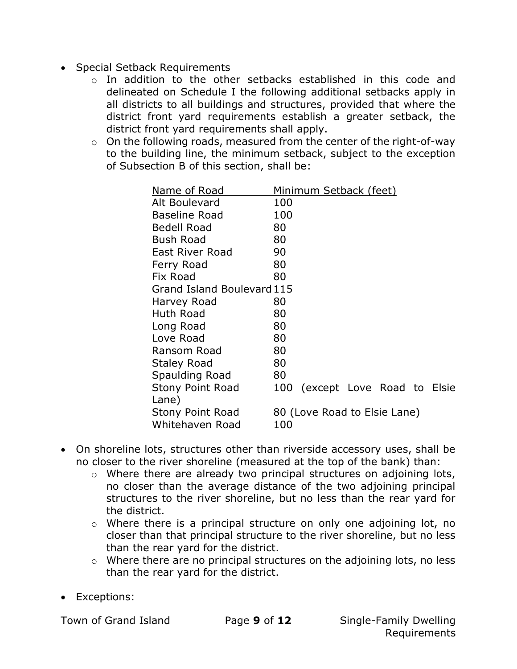- Special Setback Requirements
	- o In addition to the other setbacks established in this code and delineated on Schedule I the following additional setbacks apply in all districts to all buildings and structures, provided that where the district front yard requirements establish a greater setback, the district front yard requirements shall apply.
	- $\circ$  On the following roads, measured from the center of the right-of-way to the building line, the minimum setback, subject to the exception of Subsection B of this section, shall be:

| Name of Road               | <u>Minimum Setback (feet)</u> |                            |  |  |  |  |  |
|----------------------------|-------------------------------|----------------------------|--|--|--|--|--|
| Alt Boulevard              | 100                           |                            |  |  |  |  |  |
| <b>Baseline Road</b>       | 100                           |                            |  |  |  |  |  |
| <b>Bedell Road</b>         | 80                            |                            |  |  |  |  |  |
| <b>Bush Road</b>           | 80                            |                            |  |  |  |  |  |
| <b>East River Road</b>     | 90                            |                            |  |  |  |  |  |
| Ferry Road                 | 80                            |                            |  |  |  |  |  |
| Fix Road                   | 80                            |                            |  |  |  |  |  |
| Grand Island Boulevard 115 |                               |                            |  |  |  |  |  |
| Harvey Road                | 80                            |                            |  |  |  |  |  |
| Huth Road                  | 80                            |                            |  |  |  |  |  |
| Long Road                  | 80                            |                            |  |  |  |  |  |
| Love Road                  | 80                            |                            |  |  |  |  |  |
| Ransom Road                | 80                            |                            |  |  |  |  |  |
| Staley Road                | 80                            |                            |  |  |  |  |  |
| Spaulding Road             | 80                            |                            |  |  |  |  |  |
| <b>Stony Point Road</b>    | 100                           | (except Love Road to Elsie |  |  |  |  |  |
| Lane)                      |                               |                            |  |  |  |  |  |
| Stony Point Road           | 80 (Love Road to Elsie Lane)  |                            |  |  |  |  |  |
| Whitehaven Road            | 100                           |                            |  |  |  |  |  |

- On shoreline lots, structures other than riverside accessory uses, shall be no closer to the river shoreline (measured at the top of the bank) than:
	- o Where there are already two principal structures on adjoining lots, no closer than the average distance of the two adjoining principal structures to the river shoreline, but no less than the rear yard for the district.
	- o Where there is a principal structure on only one adjoining lot, no closer than that principal structure to the river shoreline, but no less than the rear yard for the district.
	- o Where there are no principal structures on the adjoining lots, no less than the rear yard for the district.
- Exceptions: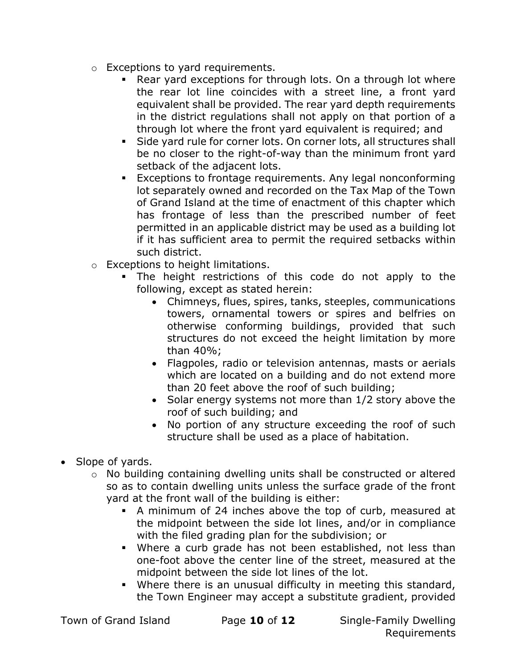- o Exceptions to yard requirements.
	- Rear yard exceptions for through lots. On a through lot where the rear lot line coincides with a street line, a front yard equivalent shall be provided. The rear yard depth requirements in the district regulations shall not apply on that portion of a through lot where the front yard equivalent is required; and
	- Side yard rule for corner lots. On corner lots, all structures shall be no closer to the right-of-way than the minimum front yard setback of the adjacent lots.
	- Exceptions to frontage requirements. Any legal nonconforming lot separately owned and recorded on the Tax Map of the Town of Grand Island at the time of enactment of this chapter which has frontage of less than the prescribed number of feet permitted in an applicable district may be used as a building lot if it has sufficient area to permit the required setbacks within such district.
- o Exceptions to height limitations.
	- The height restrictions of this code do not apply to the following, except as stated herein:
		- Chimneys, flues, spires, tanks, steeples, communications towers, ornamental towers or spires and belfries on otherwise conforming buildings, provided that such structures do not exceed the height limitation by more than 40%;
		- Flagpoles, radio or television antennas, masts or aerials which are located on a building and do not extend more than 20 feet above the roof of such building;
		- Solar energy systems not more than 1/2 story above the roof of such building; and
		- No portion of any structure exceeding the roof of such structure shall be used as a place of habitation.
- Slope of yards.
	- o No building containing dwelling units shall be constructed or altered so as to contain dwelling units unless the surface grade of the front yard at the front wall of the building is either:
		- A minimum of 24 inches above the top of curb, measured at the midpoint between the side lot lines, and/or in compliance with the filed grading plan for the subdivision; or
		- Where a curb grade has not been established, not less than one-foot above the center line of the street, measured at the midpoint between the side lot lines of the lot.
		- Where there is an unusual difficulty in meeting this standard, the Town Engineer may accept a substitute gradient, provided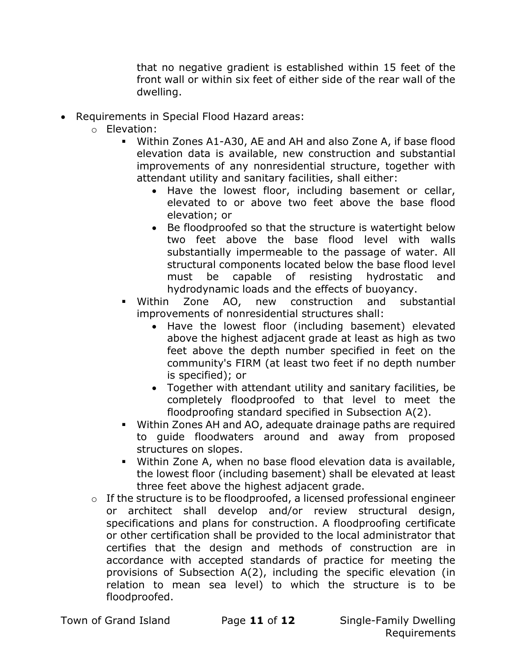that no negative gradient is established within 15 feet of the front wall or within six feet of either side of the rear wall of the dwelling.

- Requirements in Special Flood Hazard areas:
	- o Elevation:
		- Within Zones A1-A30, AE and AH and also Zone A, if base flood elevation data is available, new construction and substantial improvements of any nonresidential structure, together with attendant utility and sanitary facilities, shall either:
			- Have the lowest floor, including basement or cellar, elevated to or above two feet above the base flood elevation; or
			- Be floodproofed so that the structure is watertight below two feet above the base flood level with walls substantially impermeable to the passage of water. All structural components located below the base flood level must be capable of resisting hydrostatic and hydrodynamic loads and the effects of buoyancy.
		- Within Zone AO, new construction and substantial improvements of nonresidential structures shall:
			- Have the lowest floor (including basement) elevated above the highest adjacent grade at least as high as two feet above the depth number specified in feet on the community's FIRM (at least two feet if no depth number is specified); or
			- Together with attendant utility and sanitary facilities, be completely floodproofed to that level to meet the floodproofing standard specified in Subsection A(2).
		- Within Zones AH and AO, adequate drainage paths are required to guide floodwaters around and away from proposed structures on slopes.
		- Within Zone A, when no base flood elevation data is available, the lowest floor (including basement) shall be elevated at least three feet above the highest adjacent grade.
	- $\circ$  If the structure is to be floodproofed, a licensed professional engineer or architect shall develop and/or review structural design, specifications and plans for construction. A floodproofing certificate or other certification shall be provided to the local administrator that certifies that the design and methods of construction are in accordance with accepted standards of practice for meeting the provisions of Subsection A(2), including the specific elevation (in relation to mean sea level) to which the structure is to be floodproofed.